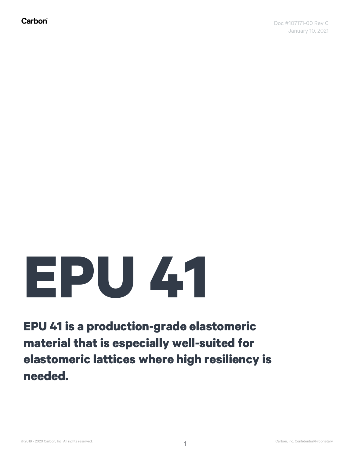## **EPU 41**

**EPU 41 is a production-grade elastomeric material that is especially well-suited for elastomeric lattices where high resiliency is needed.**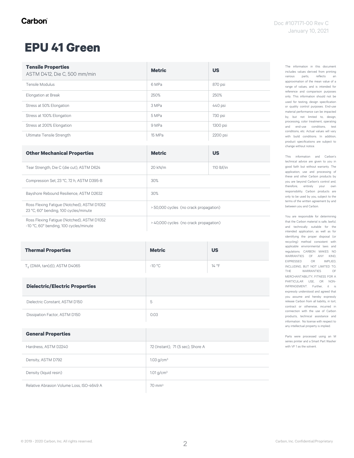#### **EPU 41 Green**

| <b>Tensile Properties</b><br>ASTM D412, Die C, 500 mm/min                           | <b>Metric</b>                          | <b>US</b>  |
|-------------------------------------------------------------------------------------|----------------------------------------|------------|
| Tensile Modulus                                                                     | 6 MPa                                  | 870 psi    |
| Elongation at Break                                                                 | 250%                                   | 250%       |
| Stress at 50% Elongation                                                            | 3 MPa                                  | 440 psi    |
| Stress at 100% Elongation                                                           | 5 MPa                                  | 730 psi    |
| Stress at 200% Elongation                                                           | 9 MPa                                  | 1300 psi   |
| Ultimate Tensile Strength                                                           | 15 MPa                                 | 2200 psi   |
| <b>Other Mechanical Properties</b>                                                  | <b>Metric</b>                          | <b>US</b>  |
|                                                                                     |                                        |            |
| Tear Strength, Die C (die cut), ASTM D624                                           | 20 kN/m                                | 110 lbf/in |
| Compression Set, 23 °C, 72 h, ASTM D395-B                                           | 30%                                    |            |
| Bayshore Rebound Resilience, ASTM D2632                                             | 30%                                    |            |
| Ross Flexing Fatigue (Notched), ASTM D1052<br>23 °C, 60° bending, 100 cycles/minute | > 50,000 cycles (no crack propagation) |            |

| <b>Thermal Properties</b>                | <b>Metric</b>                     | <b>US</b> |
|------------------------------------------|-----------------------------------|-----------|
| $T_g$ (DMA, tan(d)), ASTM D4065          | $-10 °C$                          | 14 °F     |
| <b>Dielectric/Electric Properties</b>    |                                   |           |
| Dielectric Constant, ASTM D150           | 5                                 |           |
| Dissipation Factor, ASTM D150            | 0.03                              |           |
| <b>General Properties</b>                |                                   |           |
| Hardness, ASTM D2240                     | 72 (Instant), 71 (5 sec), Shore A |           |
| Density, ASTM D792                       | $1.03$ g/cm <sup>3</sup>          |           |
| Density (liquid resin)                   | $1.01$ g/cm <sup>3</sup>          |           |
| Relative Abrasion Volume Loss ISO-4649 A | $70 \text{ mm}^3$                 |           |

The information in this document includes values derived from printing various parts, reflects an approximation of the mean value of a range of values, and is intended for reference and comparison purposes only. This information should not be used for testing, design specification or quality control purposes. End-use material performance can be impacted by, but not limited to, design, processing, color treatment, operating and end-use conditions, test conditions, etc. Actual values will vary with build conditions. In addition, product specifications are subject to change without notice.

This information and Carbon's technical advice are given to you in good faith but without warranty. The application, use and processing of these and other Carbon products by you are beyond Carbon's control and, therefore, entirely your own responsibility. Carbon products are only to be used by you, subject to the terms of the written agreement by and between you and Carbon.

You are responsible for determining that the Carbon material is safe, lawful, and technically suitable for the intended application, as well as for identifying the proper disposal (or recycling) method consistent with applicable environmental laws and regulations. CARBON MAKES NO WARRANTIES OF ANY KIND, EXPRESSED OR IMPLIED, INCLUDING, BUT NOT LIMITED TO,<br>THE WARRANTIES OF THE WARRANTIES MERCHANTABILITY, FITNESS FOR A PARTICULAR USE, OR NON-INFRINGEMENT. Further, it is expressly understood and agreed that you assume and hereby expressly release Carbon from all liability, in tort, contract or otherwise, incurred in connection with the use of Carbon products, technical assistance and information. No license with respect to any intellectual property is implied.

Parts were processed using an M series printer and a Smart Part Washer with VF 1 as the solvent.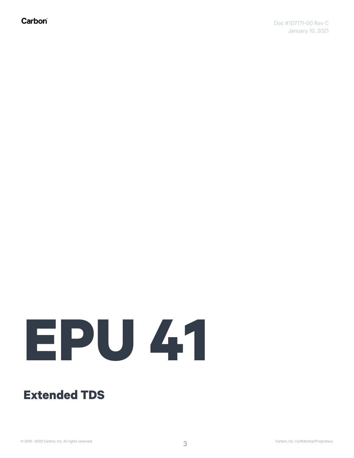Carbon®

# **EPU 41**

#### **Extended TDS**

© 2019 - 2020 Carbon, Inc. All rights reserved. Carbon Carbon Carbon, Inc. Confidential/Proprietary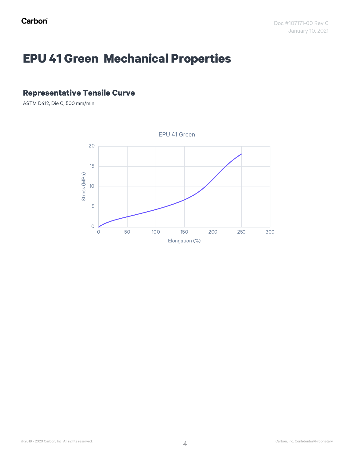## **EPU 41 Green Mechanical Properties**

#### **Representative Tensile Curve**

ASTM D412, Die C, 500 mm/min

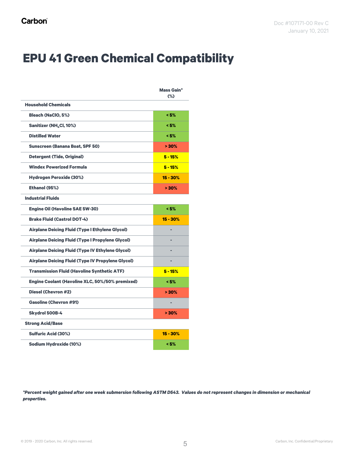#### **EPU 41 Green Chemical Compatibility**

|                                                          | <b>Mass Gain*</b><br>$(\%)$ |
|----------------------------------------------------------|-----------------------------|
| <b>Household Chemicals</b>                               |                             |
| <b>Bleach (NaClO, 5%)</b>                                | < 5%                        |
| Sanitizer (NH <sub>4</sub> Cl, 10%)                      | < 5%                        |
| <b>Distilled Water</b>                                   | < 5%                        |
| <b>Sunscreen (Banana Boat, SPF 50)</b>                   | >30%                        |
| <b>Detergent (Tide, Original)</b>                        | $5 - 15%$                   |
| <b>Windex Powerized Formula</b>                          | $5 - 15%$                   |
| <b>Hydrogen Peroxide (30%)</b>                           | $15 - 30%$                  |
| Ethanol (95%)                                            | > 30%                       |
| <b>Industrial Fluids</b>                                 |                             |
| <b>Engine Oil (Havoline SAE 5W-30)</b>                   | < 5%                        |
| <b>Brake Fluid (Castrol DOT-4)</b>                       | $15 - 30%$                  |
| <b>Airplane Deicing Fluid (Type I Ethylene Glycol)</b>   |                             |
| <b>Airplane Deicing Fluid (Type I Propylene Glycol)</b>  |                             |
| <b>Airplane Deicing Fluid (Type IV Ethylene Glycol)</b>  |                             |
| <b>Airplane Deicing Fluid (Type IV Propylene Glycol)</b> |                             |
| <b>Transmission Fluid (Havoline Synthetic ATF)</b>       | $5 - 15%$                   |
| <b>Engine Coolant (Havoline XLC, 50%/50% premixed)</b>   | < 5%                        |
| <b>Diesel (Chevron #2)</b>                               | >30%                        |
| <b>Gasoline (Chevron #91)</b>                            |                             |
| <b>Skydrol 500B-4</b>                                    | >30%                        |
| <b>Strong Acid/Base</b>                                  |                             |
| <b>Sulfuric Acid (30%)</b>                               | $15 - 30%$                  |
| <b>Sodium Hydroxide (10%)</b>                            | < 5%                        |

*\*Percent weight gained after one week submersion following ASTM D543. Values do not represent changes in dimension or mechanical properties.*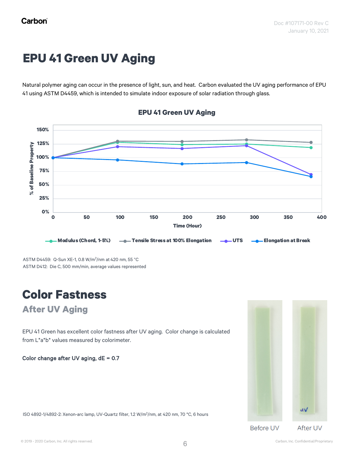## **EPU 41 Green UV Aging**

Natural polymer aging can occur in the presence of light, sun, and heat. Carbon evaluated the UV aging performance of EPU 41 using ASTM D4459, which is intended to simulate indoor exposure of solar radiation through glass.



#### **EPU 41 Green UV Aging**

ASTM D4459: Q-Sun XE-1, 0.8 W/m<sup>2</sup> /nm at 420 nm, 55 °C ASTM D412: Die C, 500 mm/min, average values represented

## **Color Fastness**

#### **After UV Aging**

EPU 41 Green has excellent color fastness after UV aging. Color change is calculated from L\*a\*b\* values measured by colorimeter.

Color change after UV aging, dE = 0.7

ISO 4892-1/4892-2: Xenon-arc lamp, UV-Quartz filter, 1.2 W/m<sup>2</sup> /nm, at 420 nm, 70 °C, 6 hours

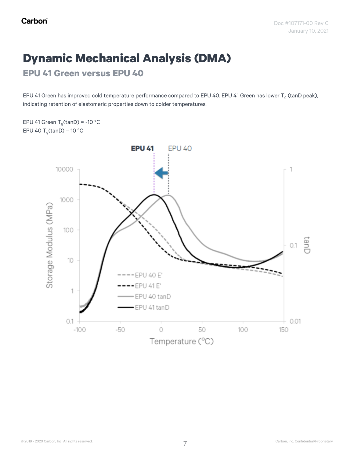## **Dynamic Mechanical Analysis (DMA)**

**EPU 41 Green versus EPU 40**

EPU 41 Green has improved cold temperature performance compared to EPU 40. EPU 41 Green has lower T<sub>g</sub> (tanD peak), indicating retention of elastomeric properties down to colder temperatures.

EPU 41 Green  $T_g$ (tanD) = -10 °C EPU 40  $T_q$ (tanD) = 10 °C

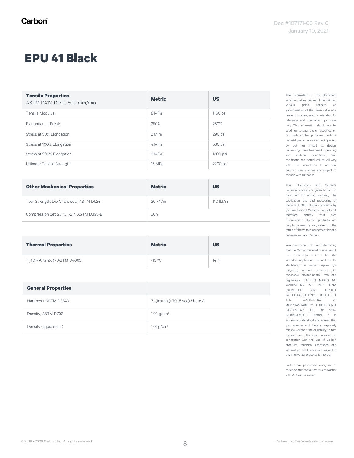#### **EPU 41 Black**

| <b>Tensile Properties</b><br>ASTM D412, Die C, 500 mm/min | <b>Metric</b> | <b>US</b> |
|-----------------------------------------------------------|---------------|-----------|
| Tensile Modulus                                           | 8 MPa         | 1160 psi  |
| Elongation at Break                                       | 250%          | 250%      |
| Stress at 50% Elongation                                  | 2 MPa         | 290 psi   |
| Stress at 100% Elongation                                 | 4 MPa         | 580 psi   |
| Stress at 200% Elongation                                 | 9 MPa         | 1300 psi  |
| Ultimate Tensile Strength                                 | 15 MPa        | 2200 psi  |

| <b>Other Mechanical Properties</b>        | <b>Metric</b> | <b>US</b>    |
|-------------------------------------------|---------------|--------------|
| Tear Strength, Die C (die cut), ASTM D624 | 20 kN/m       | 110 $lbf/in$ |
| Compression Set, 23 °C, 72 h, ASTM D395-B | 30%           |              |

| <b>Thermal Properties</b>                | <b>Metric</b> | <b>US</b> |
|------------------------------------------|---------------|-----------|
| T <sub>a</sub> (DMA, tan(d)), ASTM D4065 | $-10 °C$      | 14 °F     |

| <b>General Properties</b> |                                  |
|---------------------------|----------------------------------|
| Hardness, ASTM D2240      | 71 (Instant), 70 (5 sec) Shore A |
| Density, ASTM D792        | $1.03$ g/cm <sup>3</sup>         |
| Density (liquid resin)    | $1.01$ g/cm <sup>3</sup>         |

The information in this document includes values derived from printing various parts, reflects an approximation of the mean value of a range of values, and is intended for reference and comparison purposes only. This information should not be used for testing, design specification or quality control purposes. End-use material performance can be impacted by, but not limited to, design, processing, color treatment, operating and end-use conditions, test conditions, etc. Actual values will vary with build conditions. In addition, product specifications are subject to change without notice.

This information and Carbon's technical advice are given to you in good faith but without warranty. The application, use and processing of these and other Carbon products by you are beyond Carbon's control and, therefore, entirely your own responsibility. Carbon products are only to be used by you, subject to the terms of the written agreement by and between you and Carbon.

You are responsible for determining that the Carbon material is safe, lawful, and technically suitable for the intended application, as well as for identifying the proper disposal (or recycling) method consistent with applicable environmental laws and regulations. CARBON MAKES NO WARRANTIES OF ANY KIND, EXPRESSED OR IMPLIED, INCLUDING, BUT NOT LIMITED TO, THE WARRANTIES OF MERCHANTABILITY, FITNESS FOR A PARTICULAR USE, OR NON-INFRINGEMENT. Further, it is expressly understood and agreed that you assume and hereby expressly release Carbon from all liability, in tort, contract or otherwise, incurred in connection with the use of Carbon products, technical assistance and information. No license with respect to any intellectual property is implied.

Parts were processed using an M series printer and a Smart Part Washer with VF 1 as the solvent.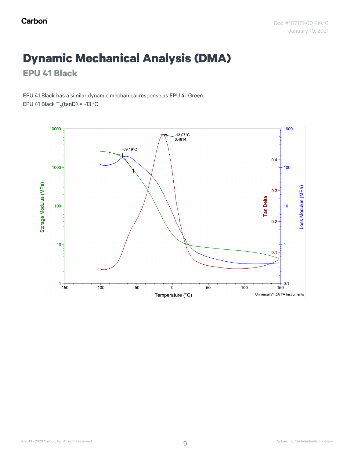## **Dynamic Mechanical Analysis (DMA)**

**EPU 41 Black**

EPU 41 Black has a similar dynamic mechanical response as EPU 41 Green. EPU 41 Black  $T_q$ (tanD) = -13 °C